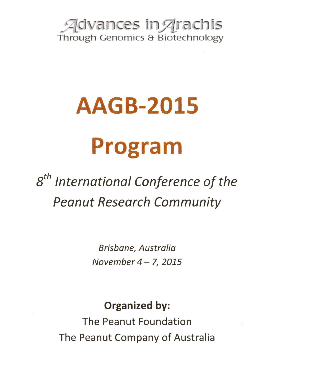Advances in Arachis Through Genomics & Biotechnology

## **AAGB-2015 Program**

8*th* International Conference of the Peanut Research Community

> Brisbane, Australia November  $4 - 7$ , 2015

## Organized by:

The Peanut Foundation The Peanut Company of Australia